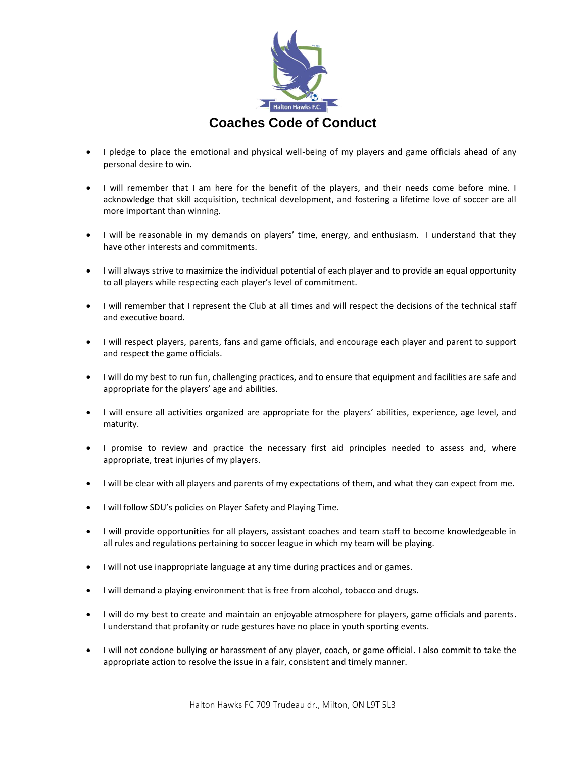

- I pledge to place the emotional and physical well-being of my players and game officials ahead of any personal desire to win.
- I will remember that I am here for the benefit of the players, and their needs come before mine. I acknowledge that skill acquisition, technical development, and fostering a lifetime love of soccer are all more important than winning.
- I will be reasonable in my demands on players' time, energy, and enthusiasm. I understand that they have other interests and commitments.
- I will always strive to maximize the individual potential of each player and to provide an equal opportunity to all players while respecting each player's level of commitment.
- I will remember that I represent the Club at all times and will respect the decisions of the technical staff and executive board.
- I will respect players, parents, fans and game officials, and encourage each player and parent to support and respect the game officials.
- I will do my best to run fun, challenging practices, and to ensure that equipment and facilities are safe and appropriate for the players' age and abilities.
- I will ensure all activities organized are appropriate for the players' abilities, experience, age level, and maturity.
- I promise to review and practice the necessary first aid principles needed to assess and, where appropriate, treat injuries of my players.
- I will be clear with all players and parents of my expectations of them, and what they can expect from me.
- I will follow SDU's policies on Player Safety and Playing Time.
- I will provide opportunities for all players, assistant coaches and team staff to become knowledgeable in all rules and regulations pertaining to soccer league in which my team will be playing.
- I will not use inappropriate language at any time during practices and or games.
- I will demand a playing environment that is free from alcohol, tobacco and drugs.
- I will do my best to create and maintain an enjoyable atmosphere for players, game officials and parents. I understand that profanity or rude gestures have no place in youth sporting events.
- I will not condone bullying or harassment of any player, coach, or game official. I also commit to take the appropriate action to resolve the issue in a fair, consistent and timely manner.